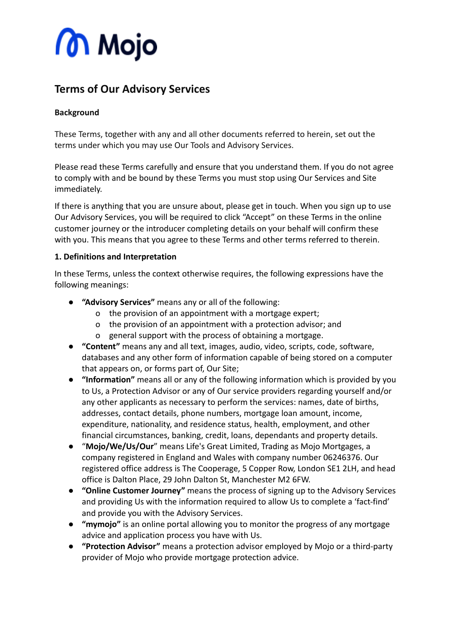# **M** Mojo

## **Terms of Our Advisory Services**

#### **Background**

These Terms, together with any and all other documents referred to herein, set out the terms under which you may use Our Tools and Advisory Services.

Please read these Terms carefully and ensure that you understand them. If you do not agree to comply with and be bound by these Terms you must stop using Our Services and Site immediately.

If there is anything that you are unsure about, please get in touch. When you sign up to use Our Advisory Services, you will be required to click "Accept" on these Terms in the online customer journey or the introducer completing details on your behalf will confirm these with you. This means that you agree to these Terms and other terms referred to therein.

#### **1. Definitions and Interpretation**

In these Terms, unless the context otherwise requires, the following expressions have the following meanings:

- **"Advisory Services"** means any or all of the following:
	- o the provision of an appointment with a mortgage expert;
	- o the provision of an appointment with a protection advisor; and
	- o general support with the process of obtaining a mortgage.
- **"Content"** means any and all text, images, audio, video, scripts, code, software, databases and any other form of information capable of being stored on a computer that appears on, or forms part of, Our Site;
- **"Information"** means all or any of the following information which is provided by you to Us, a Protection Advisor or any of Our service providers regarding yourself and/or any other applicants as necessary to perform the services: names, date of births, addresses, contact details, phone numbers, mortgage loan amount, income, expenditure, nationality, and residence status, health, employment, and other financial circumstances, banking, credit, loans, dependants and property details.
- "**Mojo/We/Us/Our**" means Life's Great Limited, Trading as Mojo Mortgages, a company registered in England and Wales with company number 06246376. Our registered office address is The Cooperage, 5 Copper Row, London SE1 2LH, and head office is Dalton Place, 29 John Dalton St, Manchester M2 6FW.
- **"Online Customer Journey"** means the process of signing up to the Advisory Services and providing Us with the information required to allow Us to complete a 'fact-find' and provide you with the Advisory Services.
- **"mymojo"** is an online portal allowing you to monitor the progress of any mortgage advice and application process you have with Us.
- **"Protection Advisor"** means a protection advisor employed by Mojo or a third-party provider of Mojo who provide mortgage protection advice.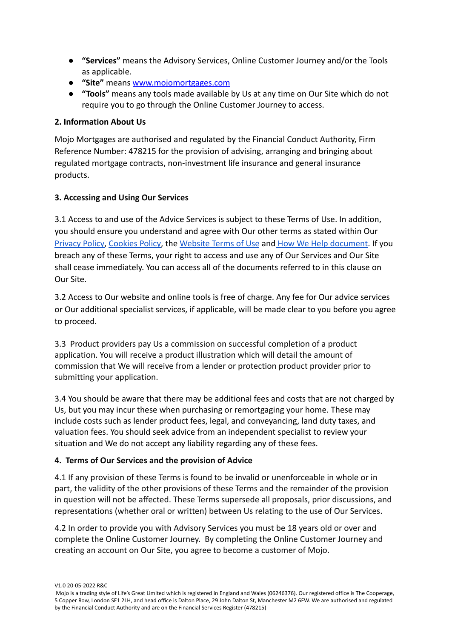- **"Services"** means the Advisory Services, Online Customer Journey and/or the Tools as applicable.
- **"Site"** means [www.mojomortgages.com](http://www.mojomortgages.com)
- **"Tools"** means any tools made available by Us at any time on Our Site which do not require you to go through the Online Customer Journey to access.

#### **2. Information About Us**

Mojo Mortgages are authorised and regulated by the Financial Conduct Authority, Firm Reference Number: 478215 for the provision of advising, arranging and bringing about regulated mortgage contracts, non-investment life insurance and general insurance products.

#### **3. Accessing and Using Our Services**

3.1 Access to and use of the Advice Services is subject to these Terms of Use. In addition, you should ensure you understand and agree with Our other terms as stated within Our [Privacy Policy,](https://mojomortgages.com/privacy-policy) [Cookies Policy](https://mojomortgages.com/cookies/), the [Website Terms](https://mojomortgages.com/app/terms-and-conditions) of Use and [How We Help document](https://mojomortgages.com/documents/mortgage/Mojo%20-%20How%20We%20Help%20You.pdf). If you breach any of these Terms, your right to access and use any of Our Services and Our Site shall cease immediately. You can access all of the documents referred to in this clause on Our Site.

3.2 Access to Our website and online tools is free of charge. Any fee for Our advice services or Our additional specialist services, if applicable, will be made clear to you before you agree to proceed.

3.3 Product providers pay Us a commission on successful completion of a product application. You will receive a product illustration which will detail the amount of commission that We will receive from a lender or protection product provider prior to submitting your application.

3.4 You should be aware that there may be additional fees and costs that are not charged by Us, but you may incur these when purchasing or remortgaging your home. These may include costs such as lender product fees, legal, and conveyancing, land duty taxes, and valuation fees. You should seek advice from an independent specialist to review your situation and We do not accept any liability regarding any of these fees.

#### **4. Terms of Our Services and the provision of Advice**

4.1 If any provision of these Terms is found to be invalid or unenforceable in whole or in part, the validity of the other provisions of these Terms and the remainder of the provision in question will not be affected. These Terms supersede all proposals, prior discussions, and representations (whether oral or written) between Us relating to the use of Our Services.

4.2 In order to provide you with Advisory Services you must be 18 years old or over and complete the Online Customer Journey. By completing the Online Customer Journey and creating an account on Our Site, you agree to become a customer of Mojo.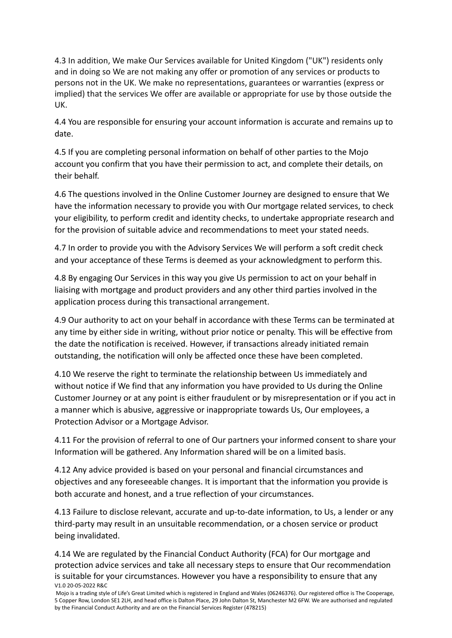4.3 In addition, We make Our Services available for United Kingdom ("UK") residents only and in doing so We are not making any offer or promotion of any services or products to persons not in the UK. We make no representations, guarantees or warranties (express or implied) that the services We offer are available or appropriate for use by those outside the UK.

4.4 You are responsible for ensuring your account information is accurate and remains up to date.

4.5 If you are completing personal information on behalf of other parties to the Mojo account you confirm that you have their permission to act, and complete their details, on their behalf.

4.6 The questions involved in the Online Customer Journey are designed to ensure that We have the information necessary to provide you with Our mortgage related services, to check your eligibility, to perform credit and identity checks, to undertake appropriate research and for the provision of suitable advice and recommendations to meet your stated needs.

4.7 In order to provide you with the Advisory Services We will perform a soft credit check and your acceptance of these Terms is deemed as your acknowledgment to perform this.

4.8 By engaging Our Services in this way you give Us permission to act on your behalf in liaising with mortgage and product providers and any other third parties involved in the application process during this transactional arrangement.

4.9 Our authority to act on your behalf in accordance with these Terms can be terminated at any time by either side in writing, without prior notice or penalty. This will be effective from the date the notification is received. However, if transactions already initiated remain outstanding, the notification will only be affected once these have been completed.

4.10 We reserve the right to terminate the relationship between Us immediately and without notice if We find that any information you have provided to Us during the Online Customer Journey or at any point is either fraudulent or by misrepresentation or if you act in a manner which is abusive, aggressive or inappropriate towards Us, Our employees, a Protection Advisor or a Mortgage Advisor.

4.11 For the provision of referral to one of Our partners your informed consent to share your Information will be gathered. Any Information shared will be on a limited basis.

4.12 Any advice provided is based on your personal and financial circumstances and objectives and any foreseeable changes. It is important that the information you provide is both accurate and honest, and a true reflection of your circumstances.

4.13 Failure to disclose relevant, accurate and up-to-date information, to Us, a lender or any third-party may result in an unsuitable recommendation, or a chosen service or product being invalidated.

4.14 We are regulated by the Financial Conduct Authority (FCA) for Our mortgage and protection advice services and take all necessary steps to ensure that Our recommendation is suitable for your circumstances. However you have a responsibility to ensure that any V1.0 20-05-2022 R&C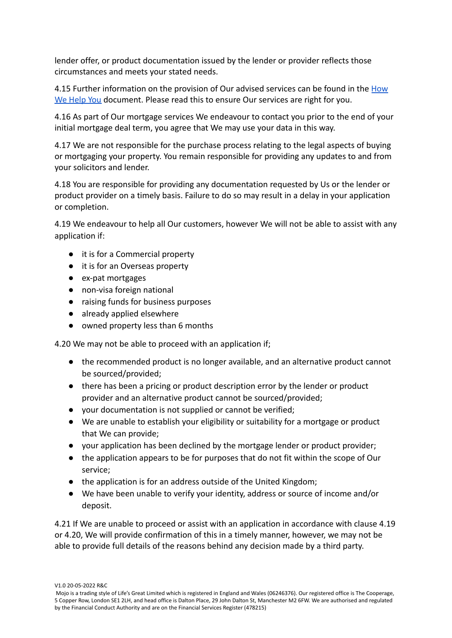lender offer, or product documentation issued by the lender or provider reflects those circumstances and meets your stated needs.

4.15 Further information on the provision of Our advised services can be found in the [How](https://mojomortgages.com/documents/mortgage/Mojo%20-%20How%20We%20Help%20You.pdf) [We Help You](https://mojomortgages.com/documents/mortgage/Mojo%20-%20How%20We%20Help%20You.pdf) document. Please read this to ensure Our services are right for you.

4.16 As part of Our mortgage services We endeavour to contact you prior to the end of your initial mortgage deal term, you agree that We may use your data in this way.

4.17 We are not responsible for the purchase process relating to the legal aspects of buying or mortgaging your property. You remain responsible for providing any updates to and from your solicitors and lender.

4.18 You are responsible for providing any documentation requested by Us or the lender or product provider on a timely basis. Failure to do so may result in a delay in your application or completion.

4.19 We endeavour to help all Our customers, however We will not be able to assist with any application if:

- it is for a Commercial property
- it is for an Overseas property
- ex-pat mortgages
- non-visa foreign national
- raising funds for business purposes
- already applied elsewhere
- owned property less than 6 months

4.20 We may not be able to proceed with an application if;

- the recommended product is no longer available, and an alternative product cannot be sourced/provided;
- there has been a pricing or product description error by the lender or product provider and an alternative product cannot be sourced/provided;
- your documentation is not supplied or cannot be verified;
- We are unable to establish your eligibility or suitability for a mortgage or product that We can provide;
- your application has been declined by the mortgage lender or product provider;
- the application appears to be for purposes that do not fit within the scope of Our service;
- the application is for an address outside of the United Kingdom;
- We have been unable to verify your identity, address or source of income and/or deposit.

4.21 If We are unable to proceed or assist with an application in accordance with clause 4.19 or 4.20, We will provide confirmation of this in a timely manner, however, we may not be able to provide full details of the reasons behind any decision made by a third party.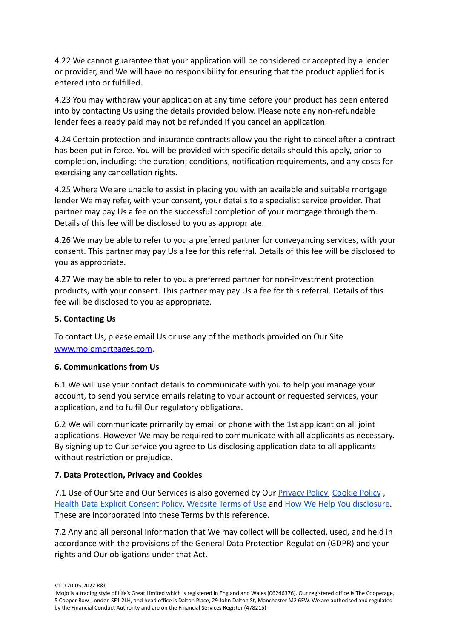4.22 We cannot guarantee that your application will be considered or accepted by a lender or provider, and We will have no responsibility for ensuring that the product applied for is entered into or fulfilled.

4.23 You may withdraw your application at any time before your product has been entered into by contacting Us using the details provided below. Please note any non-refundable lender fees already paid may not be refunded if you cancel an application.

4.24 Certain protection and insurance contracts allow you the right to cancel after a contract has been put in force. You will be provided with specific details should this apply, prior to completion, including: the duration; conditions, notification requirements, and any costs for exercising any cancellation rights.

4.25 Where We are unable to assist in placing you with an available and suitable mortgage lender We may refer, with your consent, your details to a specialist service provider. That partner may pay Us a fee on the successful completion of your mortgage through them. Details of this fee will be disclosed to you as appropriate.

4.26 We may be able to refer to you a preferred partner for conveyancing services, with your consent. This partner may pay Us a fee for this referral. Details of this fee will be disclosed to you as appropriate.

4.27 We may be able to refer to you a preferred partner for non-investment protection products, with your consent. This partner may pay Us a fee for this referral. Details of this fee will be disclosed to you as appropriate.

#### **5. Contacting Us**

To contact Us, please email Us or use any of the methods provided on Our Site [www.mojomortgages.com.](http://www.mojomortgages.com)

#### **6. Communications from Us**

6.1 We will use your contact details to communicate with you to help you manage your account, to send you service emails relating to your account or requested services, your application, and to fulfil Our regulatory obligations.

6.2 We will communicate primarily by email or phone with the 1st applicant on all joint applications. However We may be required to communicate with all applicants as necessary. By signing up to Our service you agree to Us disclosing application data to all applicants without restriction or prejudice.

#### **7. Data Protection, Privacy and Cookies**

7.1 Use of Our Site and Our Services is also governed by Our [Privacy Policy](https://mojomortgages.com/privacy-policy), [Cookie Policy](https://mojomortgages.com/cookies/), [Health Data Explicit Consent Policy,](https://mojomortgages.com/special-category-data/) [Website Terms](https://mojomortgages.com/app/terms-and-conditions) of Use and [How We Help You disclosure](https://mojomortgages.com/documents/mortgage/Mojo%20-%20How%20We%20Help%20You.pdf). These are incorporated into these Terms by this reference.

7.2 Any and all personal information that We may collect will be collected, used, and held in accordance with the provisions of the General Data Protection Regulation (GDPR) and your rights and Our obligations under that Act.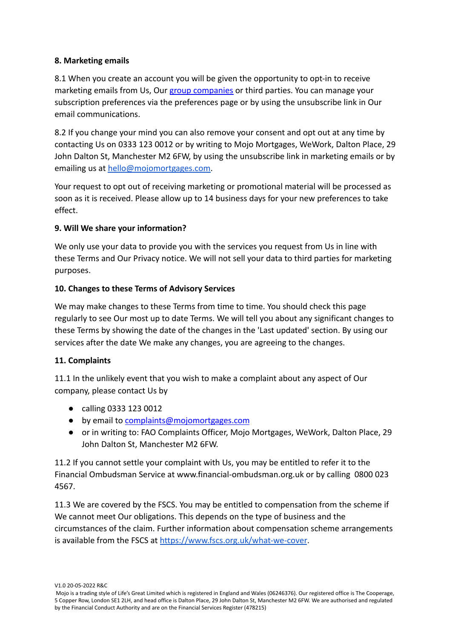#### **8. Marketing emails**

8.1 When you create an account you will be given the opportunity to opt-in to receive marketing emails from Us, Our [group companies](https://www.rvu.co.uk/rvu-group-companies) or third parties. You can manage your subscription preferences via the preferences page or by using the unsubscribe link in Our email communications.

8.2 If you change your mind you can also remove your consent and opt out at any time by contacting Us on 0333 123 0012 or by writing to Mojo Mortgages, WeWork, Dalton Place, 29 John Dalton St, Manchester M2 6FW, by using the unsubscribe link in marketing emails or by emailing us at [hello@mojomortgages.com.](mailto:hello@mojomortgages.com)

Your request to opt out of receiving marketing or promotional material will be processed as soon as it is received. Please allow up to 14 business days for your new preferences to take effect.

#### **9. Will We share your information?**

We only use your data to provide you with the services you request from Us in line with these Terms and Our Privacy notice. We will not sell your data to third parties for marketing purposes.

#### **10. Changes to these Terms of Advisory Services**

We may make changes to these Terms from time to time. You should check this page regularly to see Our most up to date Terms. We will tell you about any significant changes to these Terms by showing the date of the changes in the 'Last updated' section. By using our services after the date We make any changes, you are agreeing to the changes.

#### **11. Complaints**

11.1 In the unlikely event that you wish to make a complaint about any aspect of Our company, please contact Us by

- calling 0333 123 0012
- by email to [complaints@mojomortgages.com](mailto:complaints@mojomortgages.com)
- or in writing to: FAO Complaints Officer, Mojo Mortgages, WeWork, Dalton Place, 29 John Dalton St, Manchester M2 6FW.

11.2 If you cannot settle your complaint with Us, you may be entitled to refer it to the Financial Ombudsman Service at [www.financial-ombudsman.org.uk](http://www.financial-ombudsman.org.uk/) or by calling 0800 023 4567.

11.3 We are covered by the FSCS. You may be entitled to compensation from the scheme if We cannot meet Our obligations. This depends on the type of business and the circumstances of the claim. Further information about compensation scheme arrangements is available from the FSCS at [https://www.fscs.org.uk/what-we-cover](https://www.fscs.org.uk/what-we-cover/products).